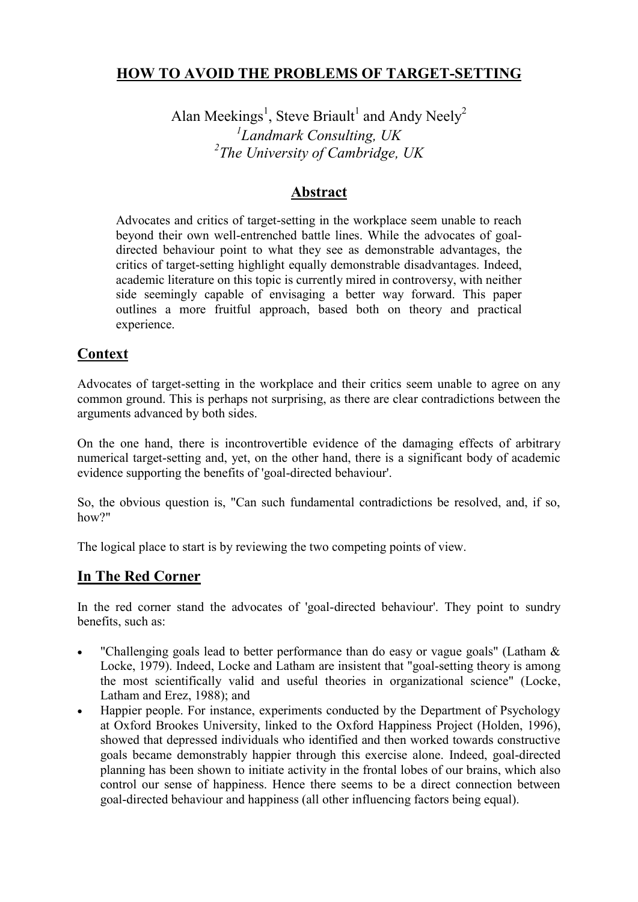## **HOW TO AVOID THE PROBLEMS OF TARGET-SETTING**

Alan Meekings<sup>1</sup>, Steve Briault<sup>1</sup> and Andy Neely<sup>2</sup> *1 Landmark Consulting, UK 2 The University of Cambridge, UK*

#### **Abstract**

Advocates and critics of target-setting in the workplace seem unable to reach beyond their own well-entrenched battle lines. While the advocates of goaldirected behaviour point to what they see as demonstrable advantages, the critics of target-setting highlight equally demonstrable disadvantages. Indeed, academic literature on this topic is currently mired in controversy, with neither side seemingly capable of envisaging a better way forward. This paper outlines a more fruitful approach, based both on theory and practical experience.

#### **Context**

Advocates of target-setting in the workplace and their critics seem unable to agree on any common ground. This is perhaps not surprising, as there are clear contradictions between the arguments advanced by both sides.

On the one hand, there is incontrovertible evidence of the damaging effects of arbitrary numerical target-setting and, yet, on the other hand, there is a significant body of academic evidence supporting the benefits of 'goal-directed behaviour'.

So, the obvious question is, "Can such fundamental contradictions be resolved, and, if so, how?"

The logical place to start is by reviewing the two competing points of view.

## **In The Red Corner**

In the red corner stand the advocates of 'goal-directed behaviour'. They point to sundry benefits, such as:

- "Challenging goals lead to better performance than do easy or vague goals" (Latham & Locke, 1979). Indeed, Locke and Latham are insistent that "goal-setting theory is among the most scientifically valid and useful theories in organizational science" (Locke, Latham and Erez, 1988); and
- Happier people. For instance, experiments conducted by the Department of Psychology at Oxford Brookes University, linked to the Oxford Happiness Project (Holden, 1996), showed that depressed individuals who identified and then worked towards constructive goals became demonstrably happier through this exercise alone. Indeed, goal-directed planning has been shown to initiate activity in the frontal lobes of our brains, which also control our sense of happiness. Hence there seems to be a direct connection between goal-directed behaviour and happiness (all other influencing factors being equal).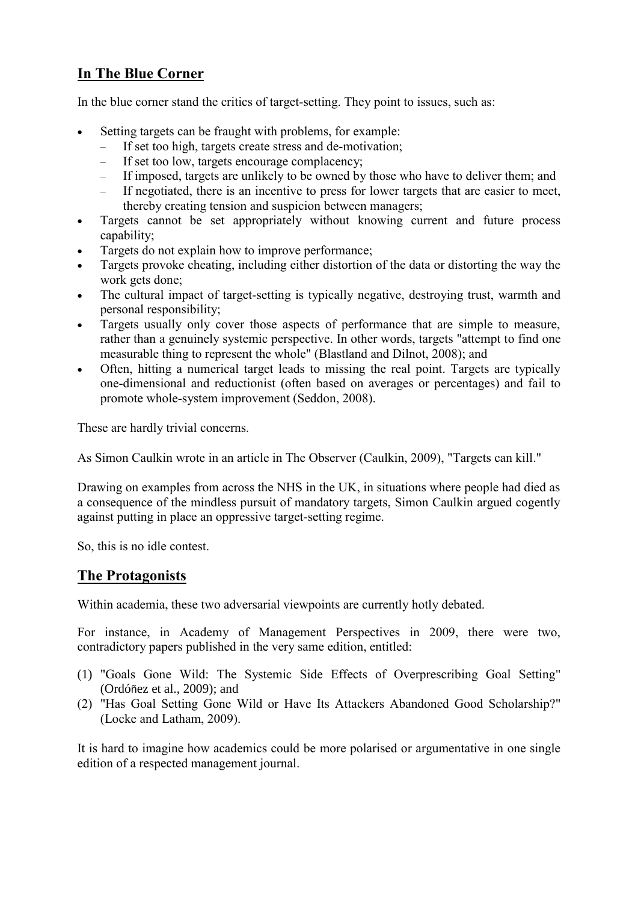# **In The Blue Corner**

In the blue corner stand the critics of target-setting. They point to issues, such as:

- Setting targets can be fraught with problems, for example:
	- If set too high, targets create stress and de-motivation;
	- If set too low, targets encourage complacency;
	- If imposed, targets are unlikely to be owned by those who have to deliver them; and
	- If negotiated, there is an incentive to press for lower targets that are easier to meet, thereby creating tension and suspicion between managers;
- Targets cannot be set appropriately without knowing current and future process capability;
- Targets do not explain how to improve performance;
- Targets provoke cheating, including either distortion of the data or distorting the way the work gets done;
- The cultural impact of target-setting is typically negative, destroying trust, warmth and personal responsibility;
- Targets usually only cover those aspects of performance that are simple to measure, rather than a genuinely systemic perspective. In other words, targets "attempt to find one measurable thing to represent the whole" (Blastland and Dilnot, 2008); and
- Often, hitting a numerical target leads to missing the real point. Targets are typically one-dimensional and reductionist (often based on averages or percentages) and fail to promote whole-system improvement (Seddon, 2008).

These are hardly trivial concerns.

As Simon Caulkin wrote in an article in The Observer (Caulkin, 2009), "Targets can kill."

Drawing on examples from across the NHS in the UK, in situations where people had died as a consequence of the mindless pursuit of mandatory targets, Simon Caulkin argued cogently against putting in place an oppressive target-setting regime.

So, this is no idle contest.

#### **The Protagonists**

Within academia, these two adversarial viewpoints are currently hotly debated.

For instance, in Academy of Management Perspectives in 2009, there were two, contradictory papers published in the very same edition, entitled:

- (1) "Goals Gone Wild: The Systemic Side Effects of Overprescribing Goal Setting" (Ordóñez et al., 2009); and
- (2) "Has Goal Setting Gone Wild or Have Its Attackers Abandoned Good Scholarship?" (Locke and Latham, 2009).

It is hard to imagine how academics could be more polarised or argumentative in one single edition of a respected management journal.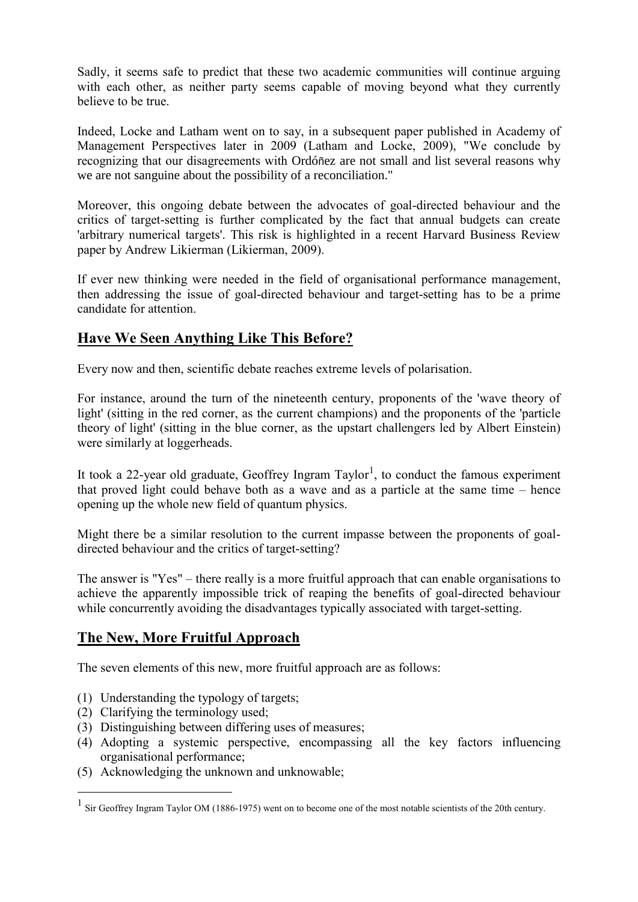Sadly, it seems safe to predict that these two academic communities will continue arguing with each other, as neither party seems capable of moving beyond what they currently believe to be true.

Indeed, Locke and Latham went on to say, in a subsequent paper published in Academy of Management Perspectives later in 2009 (Latham and Locke, 2009), "We conclude by recognizing that our disagreements with Ordóñez are not small and list several reasons why we are not sanguine about the possibility of a reconciliation."

Moreover, this ongoing debate between the advocates of goal-directed behaviour and the critics of target-setting is further complicated by the fact that annual budgets can create 'arbitrary numerical targets'. This risk is highlighted in a recent Harvard Business Review paper by Andrew Likierman (Likierman, 2009).

If ever new thinking were needed in the field of organisational performance management, then addressing the issue of goal-directed behaviour and target-setting has to be a prime candidate for attention.

## **Have We Seen Anything Like This Before?**

Every now and then, scientific debate reaches extreme levels of polarisation.

For instance, around the turn of the nineteenth century, proponents of the 'wave theory of light' (sitting in the red corner, as the current champions) and the proponents of the 'particle theory of light' (sitting in the blue corner, as the upstart challengers led by Albert Einstein) were similarly at loggerheads.

It took a 22-year old graduate, Geoffrey Ingram Taylor<sup>1</sup>, to conduct the famous experiment that proved light could behave both as a wave and as a particle at the same time – hence opening up the whole new field of quantum physics.

Might there be a similar resolution to the current impasse between the proponents of goaldirected behaviour and the critics of target-setting?

The answer is "Yes" – there really is a more fruitful approach that can enable organisations to achieve the apparently impossible trick of reaping the benefits of goal-directed behaviour while concurrently avoiding the disadvantages typically associated with target-setting.

## **The New, More Fruitful Approach**

The seven elements of this new, more fruitful approach are as follows:

- (1) Understanding the typology of targets;
- (2) Clarifying the terminology used;

 $\overline{a}$ 

- (3) Distinguishing between differing uses of measures;
- (4) Adopting a systemic perspective, encompassing all the key factors influencing organisational performance;
- (5) Acknowledging the unknown and unknowable;

<sup>&</sup>lt;sup>1</sup> Sir Geoffrey Ingram Taylor OM (1886-1975) went on to become one of the most notable scientists of the 20th century.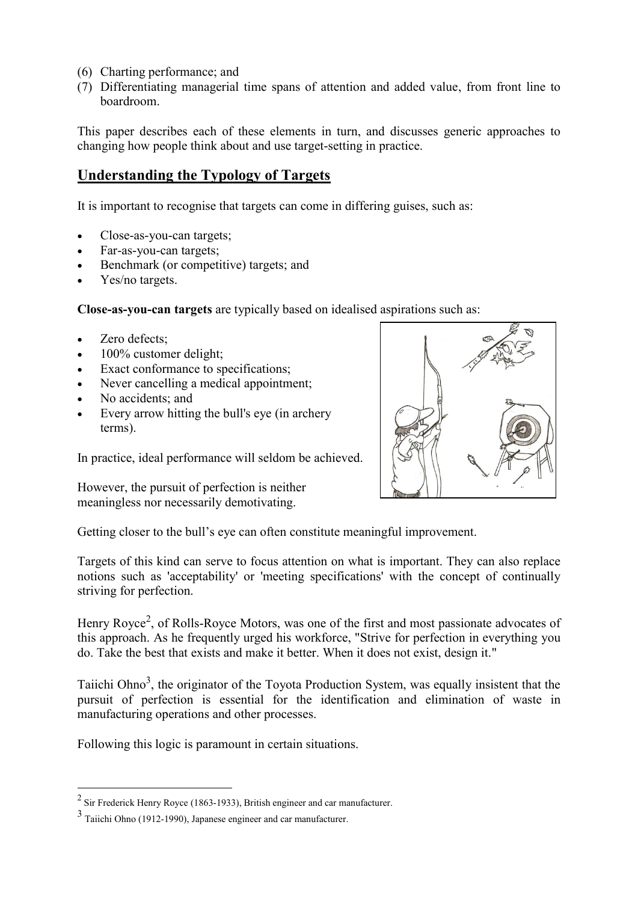- (6) Charting performance; and
- (7) Differentiating managerial time spans of attention and added value, from front line to boardroom.

This paper describes each of these elements in turn, and discusses generic approaches to changing how people think about and use target-setting in practice.

#### **Understanding the Typology of Targets**

It is important to recognise that targets can come in differing guises, such as:

- Close-as-you-can targets;
- Far-as-you-can targets;
- Benchmark (or competitive) targets; and
- Yes/no targets.

**Close-as-you-can targets** are typically based on idealised aspirations such as:

- Zero defects;
- 100% customer delight;
- Exact conformance to specifications;
- Never cancelling a medical appointment;
- No accidents; and

 $\overline{a}$ 

 Every arrow hitting the bull's eye (in archery terms).

In practice, ideal performance will seldom be achieved.

However, the pursuit of perfection is neither meaningless nor necessarily demotivating.



Getting closer to the bull's eye can often constitute meaningful improvement.

Targets of this kind can serve to focus attention on what is important. They can also replace notions such as 'acceptability' or 'meeting specifications' with the concept of continually striving for perfection.

Henry Royce<sup>2</sup>, of Rolls-Royce Motors, was one of the first and most passionate advocates of this approach. As he frequently urged his workforce, "Strive for perfection in everything you do. Take the best that exists and make it better. When it does not exist, design it."

Taiichi Ohno<sup>3</sup>, the originator of the Toyota Production System, was equally insistent that the pursuit of perfection is essential for the identification and elimination of waste in manufacturing operations and other processes.

Following this logic is paramount in certain situations.

 $2$  Sir Frederick Henry Royce (1863-1933), British engineer and car manufacturer.

<sup>3</sup> Taiichi Ohno (1912-1990), Japanese engineer and car manufacturer.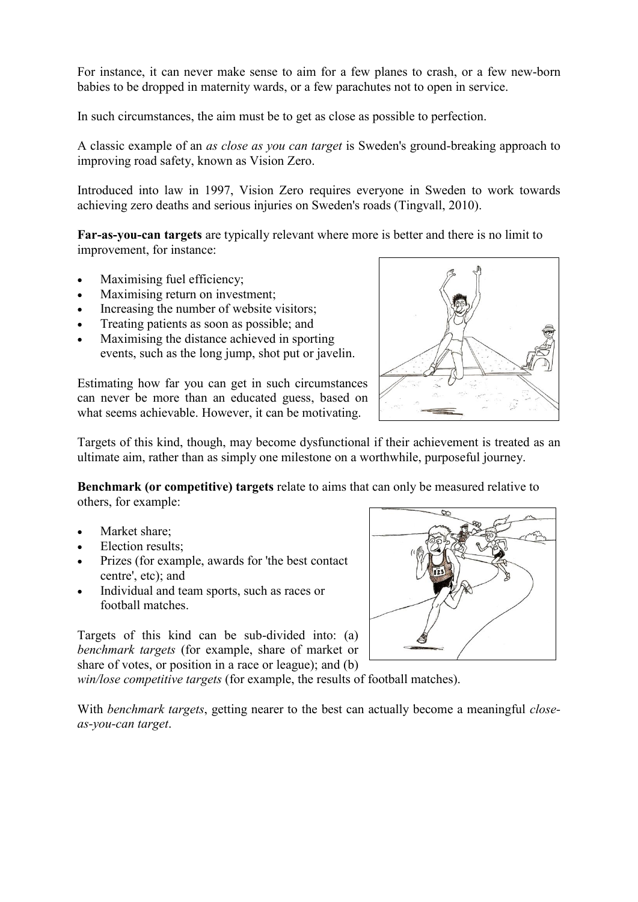For instance, it can never make sense to aim for a few planes to crash, or a few new-born babies to be dropped in maternity wards, or a few parachutes not to open in service.

In such circumstances, the aim must be to get as close as possible to perfection.

A classic example of an *as close as you can target* is Sweden's ground-breaking approach to improving road safety, known as Vision Zero.

Introduced into law in 1997, Vision Zero requires everyone in Sweden to work towards achieving zero deaths and serious injuries on Sweden's roads (Tingvall, 2010).

**Far-as-you-can targets** are typically relevant where more is better and there is no limit to improvement, for instance:

- Maximising fuel efficiency;
- Maximising return on investment;
- Increasing the number of website visitors;
- Treating patients as soon as possible; and
- Maximising the distance achieved in sporting events, such as the long jump, shot put or javelin.

Estimating how far you can get in such circumstances can never be more than an educated guess, based on what seems achievable. However, it can be motivating.



Targets of this kind, though, may become dysfunctional if their achievement is treated as an ultimate aim, rather than as simply one milestone on a worthwhile, purposeful journey.

**Benchmark (or competitive) targets** relate to aims that can only be measured relative to others, for example:

- Market share;
- Election results;
- Prizes (for example, awards for 'the best contact centre', etc); and
- Individual and team sports, such as races or football matches.

Targets of this kind can be sub-divided into: (a) *benchmark targets* (for example, share of market or share of votes, or position in a race or league); and (b)



*win/lose competitive targets* (for example, the results of football matches).

With *benchmark targets*, getting nearer to the best can actually become a meaningful *closeas-you-can target*.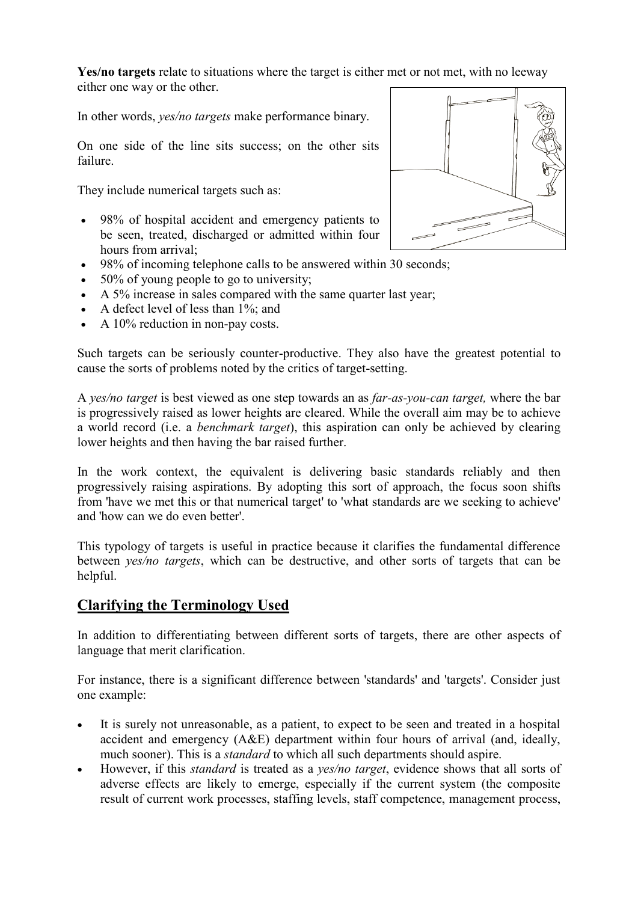**Yes/no targets** relate to situations where the target is either met or not met, with no leeway either one way or the other.

In other words, *yes/no targets* make performance binary.

On one side of the line sits success; on the other sits failure.

They include numerical targets such as:

- 98% of hospital accident and emergency patients to be seen, treated, discharged or admitted within four hours from arrival;
- 98% of incoming telephone calls to be answered within 30 seconds;
- 50% of young people to go to university;
- A 5% increase in sales compared with the same quarter last year;
- A defect level of less than 1%; and
- A 10% reduction in non-pay costs.

Such targets can be seriously counter-productive. They also have the greatest potential to cause the sorts of problems noted by the critics of target-setting.

A *yes/no target* is best viewed as one step towards an as *far-as-you-can target,* where the bar is progressively raised as lower heights are cleared. While the overall aim may be to achieve a world record (i.e. a *benchmark target*), this aspiration can only be achieved by clearing lower heights and then having the bar raised further.

In the work context, the equivalent is delivering basic standards reliably and then progressively raising aspirations. By adopting this sort of approach, the focus soon shifts from 'have we met this or that numerical target' to 'what standards are we seeking to achieve' and 'how can we do even better'.

This typology of targets is useful in practice because it clarifies the fundamental difference between *yes/no targets*, which can be destructive, and other sorts of targets that can be helpful.

## **Clarifying the Terminology Used**

In addition to differentiating between different sorts of targets, there are other aspects of language that merit clarification.

For instance, there is a significant difference between 'standards' and 'targets'. Consider just one example:

- It is surely not unreasonable, as a patient, to expect to be seen and treated in a hospital accident and emergency (A&E) department within four hours of arrival (and, ideally, much sooner). This is a *standard* to which all such departments should aspire.
- However, if this *standard* is treated as a *yes/no target*, evidence shows that all sorts of adverse effects are likely to emerge, especially if the current system (the composite result of current work processes, staffing levels, staff competence, management process,

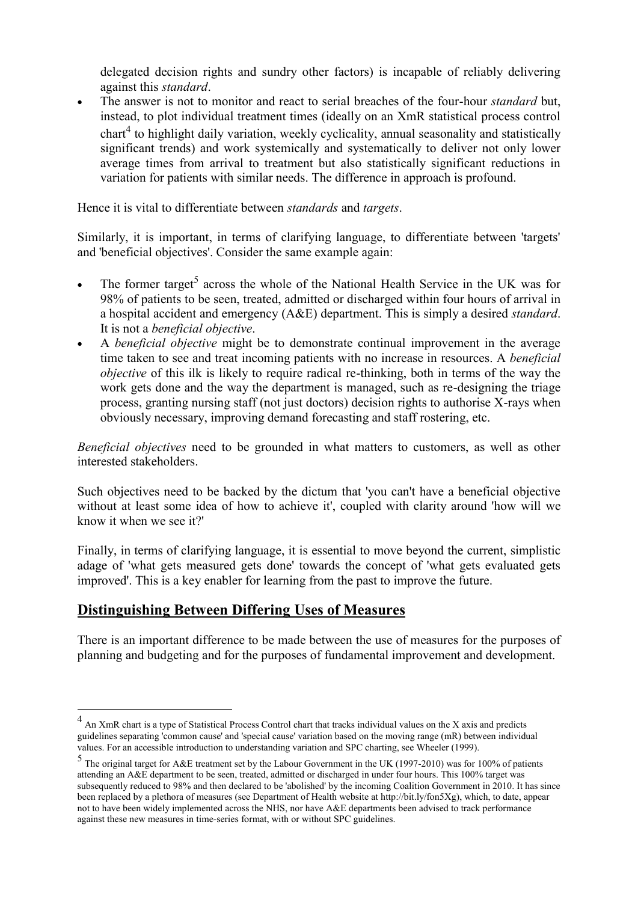delegated decision rights and sundry other factors) is incapable of reliably delivering against this *standard*.

 The answer is not to monitor and react to serial breaches of the four-hour *standard* but, instead, to plot individual treatment times (ideally on an XmR statistical process control chart<sup>4</sup> to highlight daily variation, weekly cyclicality, annual seasonality and statistically significant trends) and work systemically and systematically to deliver not only lower average times from arrival to treatment but also statistically significant reductions in variation for patients with similar needs. The difference in approach is profound.

Hence it is vital to differentiate between *standards* and *targets*.

Similarly, it is important, in terms of clarifying language, to differentiate between 'targets' and 'beneficial objectives'. Consider the same example again:

- The former target<sup>5</sup> across the whole of the National Health Service in the UK was for 98% of patients to be seen, treated, admitted or discharged within four hours of arrival in a hospital accident and emergency (A&E) department. This is simply a desired *standard*. It is not a *beneficial objective*.
- A *beneficial objective* might be to demonstrate continual improvement in the average time taken to see and treat incoming patients with no increase in resources. A *beneficial objective* of this ilk is likely to require radical re-thinking, both in terms of the way the work gets done and the way the department is managed, such as re-designing the triage process, granting nursing staff (not just doctors) decision rights to authorise X-rays when obviously necessary, improving demand forecasting and staff rostering, etc.

*Beneficial objectives* need to be grounded in what matters to customers, as well as other interested stakeholders.

Such objectives need to be backed by the dictum that 'you can't have a beneficial objective without at least some idea of how to achieve it', coupled with clarity around 'how will we know it when we see it?'

Finally, in terms of clarifying language, it is essential to move beyond the current, simplistic adage of 'what gets measured gets done' towards the concept of 'what gets evaluated gets improved'. This is a key enabler for learning from the past to improve the future.

## **Distinguishing Between Differing Uses of Measures**

l

There is an important difference to be made between the use of measures for the purposes of planning and budgeting and for the purposes of fundamental improvement and development.

 $<sup>4</sup>$  An XmR chart is a type of Statistical Process Control chart that tracks individual values on the X axis and predicts</sup> guidelines separating 'common cause' and 'special cause' variation based on the moving range (mR) between individual values. For an accessible introduction to understanding variation and SPC charting, see Wheeler (1999).

<sup>5</sup> The original target for A&E treatment set by the Labour Government in the UK (1997-2010) was for 100% of patients attending an A&E department to be seen, treated, admitted or discharged in under four hours. This 100% target was subsequently reduced to 98% and then declared to be 'abolished' by the incoming Coalition Government in 2010. It has since been replaced by a plethora of measures (see Department of Health website at http://bit.ly/fon5Xg), which, to date, appear not to have been widely implemented across the NHS, nor have A&E departments been advised to track performance against these new measures in time-series format, with or without SPC guidelines.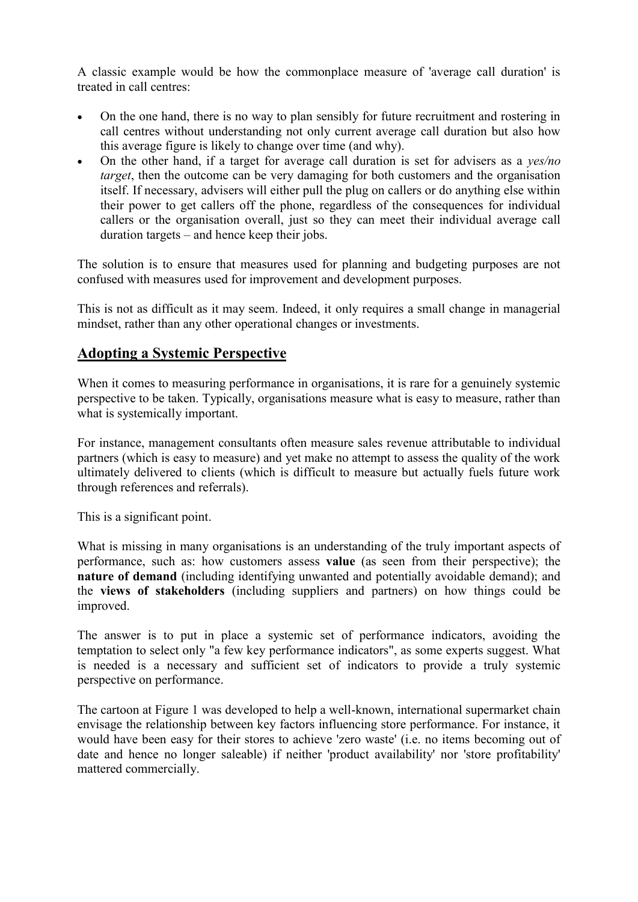A classic example would be how the commonplace measure of 'average call duration' is treated in call centres:

- On the one hand, there is no way to plan sensibly for future recruitment and rostering in call centres without understanding not only current average call duration but also how this average figure is likely to change over time (and why).
- On the other hand, if a target for average call duration is set for advisers as a *yes/no target*, then the outcome can be very damaging for both customers and the organisation itself. If necessary, advisers will either pull the plug on callers or do anything else within their power to get callers off the phone, regardless of the consequences for individual callers or the organisation overall, just so they can meet their individual average call duration targets – and hence keep their jobs.

The solution is to ensure that measures used for planning and budgeting purposes are not confused with measures used for improvement and development purposes.

This is not as difficult as it may seem. Indeed, it only requires a small change in managerial mindset, rather than any other operational changes or investments.

#### **Adopting a Systemic Perspective**

When it comes to measuring performance in organisations, it is rare for a genuinely systemic perspective to be taken. Typically, organisations measure what is easy to measure, rather than what is systemically important.

For instance, management consultants often measure sales revenue attributable to individual partners (which is easy to measure) and yet make no attempt to assess the quality of the work ultimately delivered to clients (which is difficult to measure but actually fuels future work through references and referrals).

This is a significant point.

What is missing in many organisations is an understanding of the truly important aspects of performance, such as: how customers assess **value** (as seen from their perspective); the **nature of demand** (including identifying unwanted and potentially avoidable demand); and the **views of stakeholders** (including suppliers and partners) on how things could be improved.

The answer is to put in place a systemic set of performance indicators, avoiding the temptation to select only "a few key performance indicators", as some experts suggest. What is needed is a necessary and sufficient set of indicators to provide a truly systemic perspective on performance.

The cartoon at Figure 1 was developed to help a well-known, international supermarket chain envisage the relationship between key factors influencing store performance. For instance, it would have been easy for their stores to achieve 'zero waste' (i.e. no items becoming out of date and hence no longer saleable) if neither 'product availability' nor 'store profitability' mattered commercially.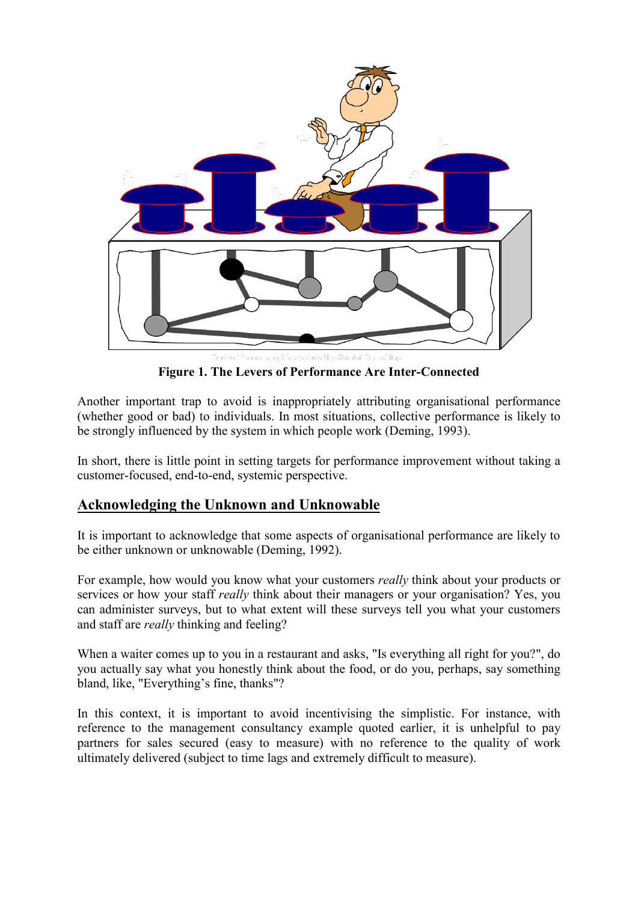

**Figure 1. The Levers of Performance Are Inter-Connected**

Another important trap to avoid is inappropriately attributing organisational performance (whether good or bad) to individuals. In most situations, collective performance is likely to be strongly influenced by the system in which people work (Deming, 1993).

In short, there is little point in setting targets for performance improvement without taking a customer-focused, end-to-end, systemic perspective.

## **Acknowledging the Unknown and Unknowable**

It is important to acknowledge that some aspects of organisational performance are likely to be either unknown or unknowable (Deming, 1992).

For example, how would you know what your customers *really* think about your products or services or how your staff *really* think about their managers or your organisation? Yes, you can administer surveys, but to what extent will these surveys tell you what your customers and staff are *really* thinking and feeling?

When a waiter comes up to you in a restaurant and asks, "Is everything all right for you?", do you actually say what you honestly think about the food, or do you, perhaps, say something bland, like, "Everything's fine, thanks"?

In this context, it is important to avoid incentivising the simplistic. For instance, with reference to the management consultancy example quoted earlier, it is unhelpful to pay partners for sales secured (easy to measure) with no reference to the quality of work ultimately delivered (subject to time lags and extremely difficult to measure).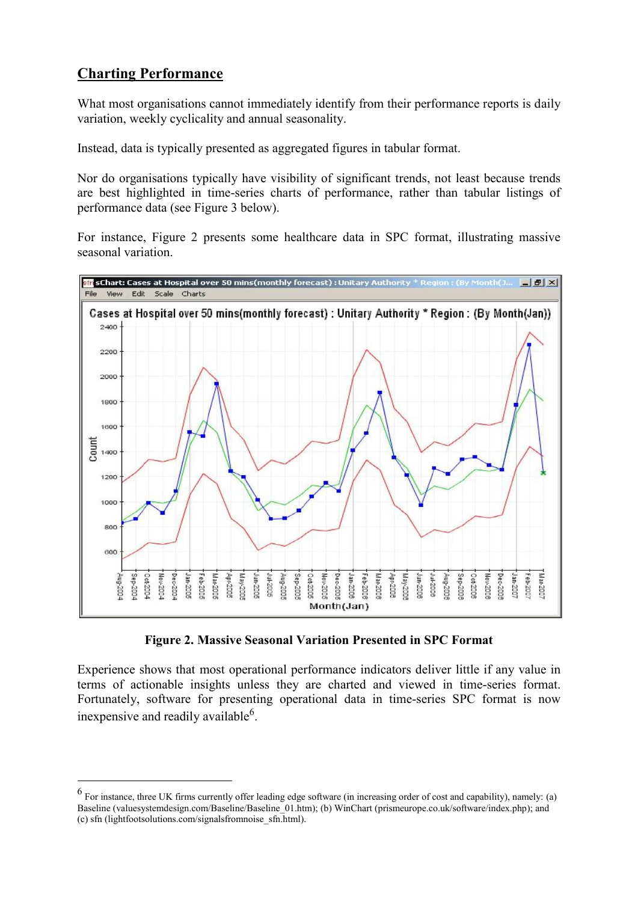## **Charting Performance**

l

What most organisations cannot immediately identify from their performance reports is daily variation, weekly cyclicality and annual seasonality.

Instead, data is typically presented as aggregated figures in tabular format.

Nor do organisations typically have visibility of significant trends, not least because trends are best highlighted in time-series charts of performance, rather than tabular listings of performance data (see Figure 3 below).

For instance, Figure 2 presents some healthcare data in SPC format, illustrating massive seasonal variation.



**Figure 2. Massive Seasonal Variation Presented in SPC Format**

Experience shows that most operational performance indicators deliver little if any value in terms of actionable insights unless they are charted and viewed in time-series format. Fortunately, software for presenting operational data in time-series SPC format is now inexpensive and readily available $6$ .

 $^6$  For instance, three UK firms currently offer leading edge software (in increasing order of cost and capability), namely: (a) Baseline (valuesystemdesign.com/Baseline/Baseline 01.htm); (b) WinChart (prismeurope.co.uk/software/index.php); and (c) sfn (lightfootsolutions.com/signalsfromnoise\_sfn.html).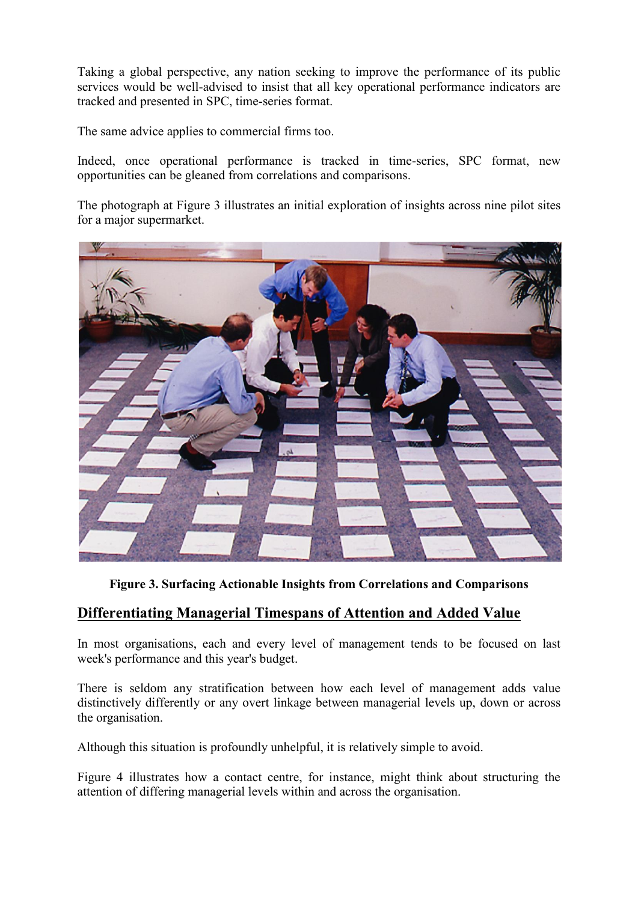Taking a global perspective, any nation seeking to improve the performance of its public services would be well-advised to insist that all key operational performance indicators are tracked and presented in SPC, time-series format.

The same advice applies to commercial firms too.

Indeed, once operational performance is tracked in time-series, SPC format, new opportunities can be gleaned from correlations and comparisons.

The photograph at Figure 3 illustrates an initial exploration of insights across nine pilot sites for a major supermarket.



**Figure 3. Surfacing Actionable Insights from Correlations and Comparisons**

## **Differentiating Managerial Timespans of Attention and Added Value**

In most organisations, each and every level of management tends to be focused on last week's performance and this year's budget.

There is seldom any stratification between how each level of management adds value distinctively differently or any overt linkage between managerial levels up, down or across the organisation.

Although this situation is profoundly unhelpful, it is relatively simple to avoid.

Figure 4 illustrates how a contact centre, for instance, might think about structuring the attention of differing managerial levels within and across the organisation.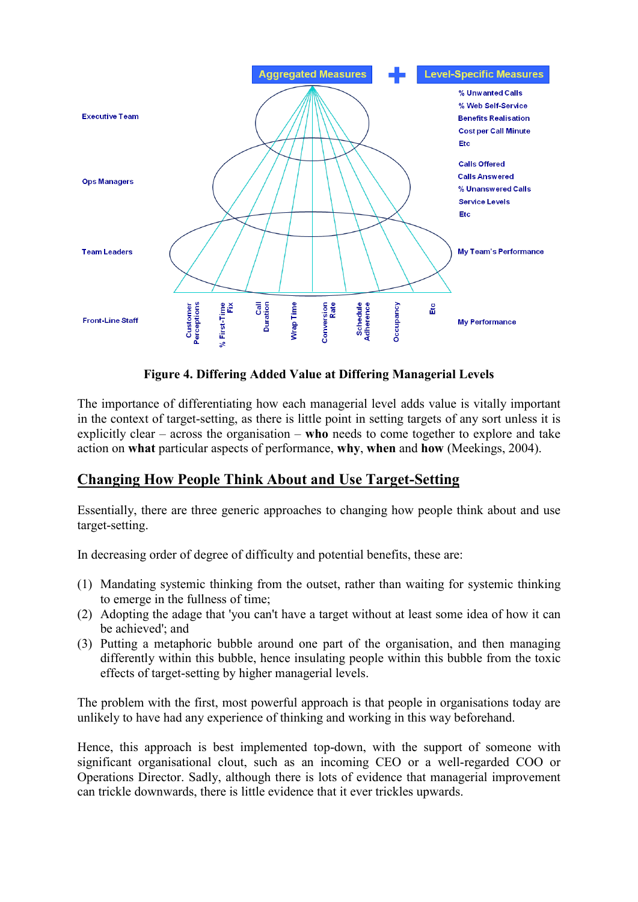

**Figure 4. Differing Added Value at Differing Managerial Levels**

The importance of differentiating how each managerial level adds value is vitally important in the context of target-setting, as there is little point in setting targets of any sort unless it is explicitly clear – across the organisation – **who** needs to come together to explore and take action on **what** particular aspects of performance, **why**, **when** and **how** (Meekings, 2004).

## **Changing How People Think About and Use Target-Setting**

Essentially, there are three generic approaches to changing how people think about and use target-setting.

In decreasing order of degree of difficulty and potential benefits, these are:

- (1) Mandating systemic thinking from the outset, rather than waiting for systemic thinking to emerge in the fullness of time;
- (2) Adopting the adage that 'you can't have a target without at least some idea of how it can be achieved'; and
- (3) Putting a metaphoric bubble around one part of the organisation, and then managing differently within this bubble, hence insulating people within this bubble from the toxic effects of target-setting by higher managerial levels.

The problem with the first, most powerful approach is that people in organisations today are unlikely to have had any experience of thinking and working in this way beforehand.

Hence, this approach is best implemented top-down, with the support of someone with significant organisational clout, such as an incoming CEO or a well-regarded COO or Operations Director. Sadly, although there is lots of evidence that managerial improvement can trickle downwards, there is little evidence that it ever trickles upwards.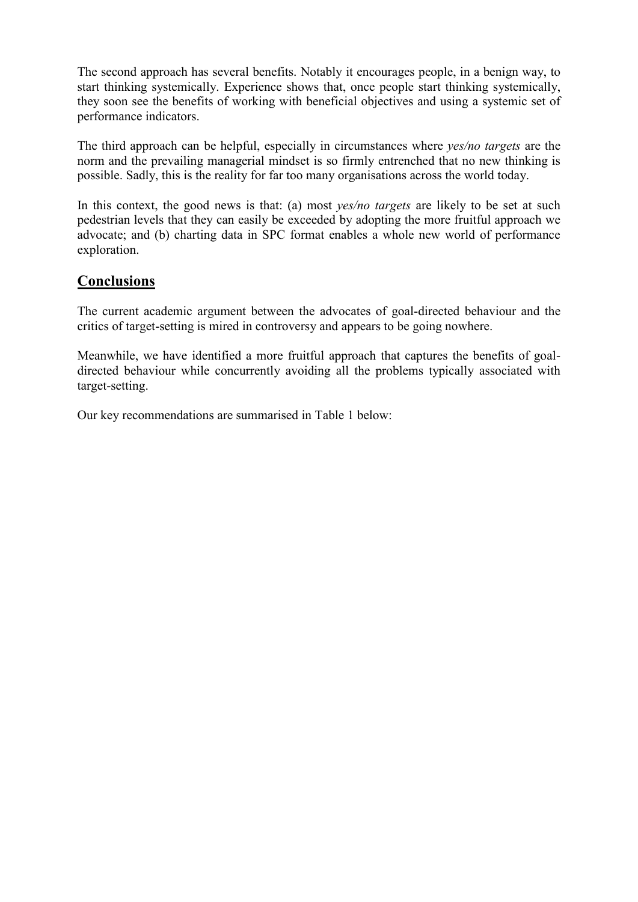The second approach has several benefits. Notably it encourages people, in a benign way, to start thinking systemically. Experience shows that, once people start thinking systemically, they soon see the benefits of working with beneficial objectives and using a systemic set of performance indicators.

The third approach can be helpful, especially in circumstances where *yes/no targets* are the norm and the prevailing managerial mindset is so firmly entrenched that no new thinking is possible. Sadly, this is the reality for far too many organisations across the world today.

In this context, the good news is that: (a) most *yes/no targets* are likely to be set at such pedestrian levels that they can easily be exceeded by adopting the more fruitful approach we advocate; and (b) charting data in SPC format enables a whole new world of performance exploration.

#### **Conclusions**

The current academic argument between the advocates of goal-directed behaviour and the critics of target-setting is mired in controversy and appears to be going nowhere.

Meanwhile, we have identified a more fruitful approach that captures the benefits of goaldirected behaviour while concurrently avoiding all the problems typically associated with target-setting.

Our key recommendations are summarised in Table 1 below: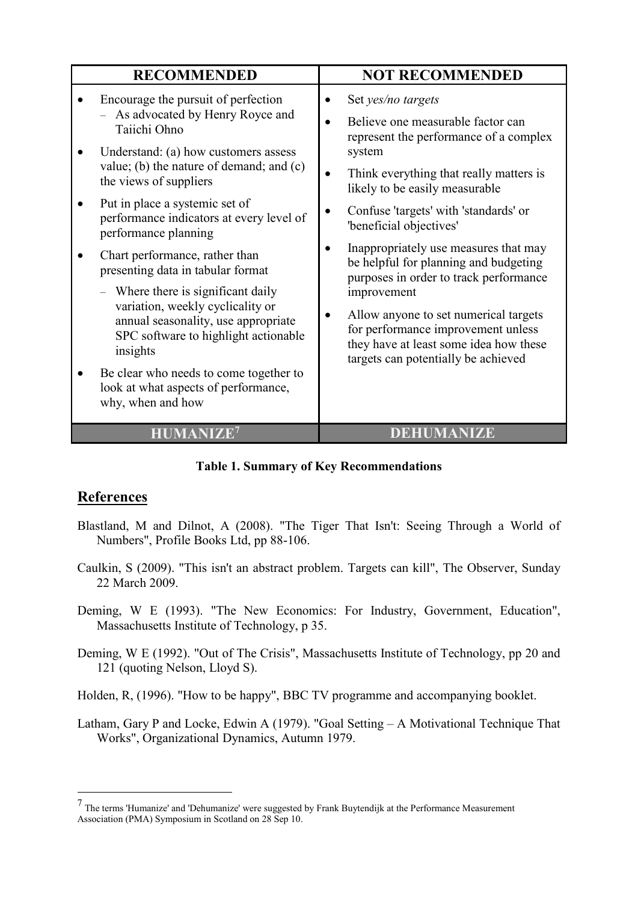| <b>RECOMMENDED</b>                                                                                                                                                | <b>NOT RECOMMENDED</b>                                                                                                                                                      |
|-------------------------------------------------------------------------------------------------------------------------------------------------------------------|-----------------------------------------------------------------------------------------------------------------------------------------------------------------------------|
| Encourage the pursuit of perfection<br>As advocated by Henry Royce and<br>Taiichi Ohno                                                                            | Set yes/no targets<br>Believe one measurable factor can<br>represent the performance of a complex                                                                           |
| Understand: (a) how customers assess<br>value; (b) the nature of demand; and (c)<br>the views of suppliers                                                        | system<br>Think everything that really matters is<br>likely to be easily measurable                                                                                         |
| Put in place a systemic set of<br>performance indicators at every level of<br>performance planning                                                                | Confuse 'targets' with 'standards' or<br>'beneficial objectives'                                                                                                            |
| Chart performance, rather than<br>presenting data in tabular format                                                                                               | Inappropriately use measures that may<br>be helpful for planning and budgeting<br>purposes in order to track performance                                                    |
| - Where there is significant daily<br>variation, weekly cyclicality or<br>annual seasonality, use appropriate<br>SPC software to highlight actionable<br>insights | improvement<br>Allow anyone to set numerical targets<br>for performance improvement unless<br>they have at least some idea how these<br>targets can potentially be achieved |
| Be clear who needs to come together to<br>look at what aspects of performance,<br>why, when and how                                                               |                                                                                                                                                                             |
| <b>HUMANIZE</b>                                                                                                                                                   | DEHUMANIZE                                                                                                                                                                  |
|                                                                                                                                                                   |                                                                                                                                                                             |

#### **Table 1. Summary of Key Recommendations**

#### **References**

 $\overline{a}$ 

- Blastland, M and Dilnot, A (2008). "The Tiger That Isn't: Seeing Through a World of Numbers", Profile Books Ltd, pp 88-106.
- Caulkin, S (2009). "This isn't an abstract problem. Targets can kill", The Observer, Sunday 22 March 2009.
- Deming, W E (1993). "The New Economics: For Industry, Government, Education", Massachusetts Institute of Technology, p 35.
- Deming, W E (1992). "Out of The Crisis", Massachusetts Institute of Technology, pp 20 and 121 (quoting Nelson, Lloyd S).
- Holden, R, (1996). "How to be happy", BBC TV programme and accompanying booklet.
- Latham, Gary P and Locke, Edwin A (1979). "Goal Setting A Motivational Technique That Works", Organizational Dynamics, Autumn 1979.

<sup>7</sup> The terms 'Humanize' and 'Dehumanize' were suggested by Frank Buytendijk at the Performance Measurement Association (PMA) Symposium in Scotland on 28 Sep 10.